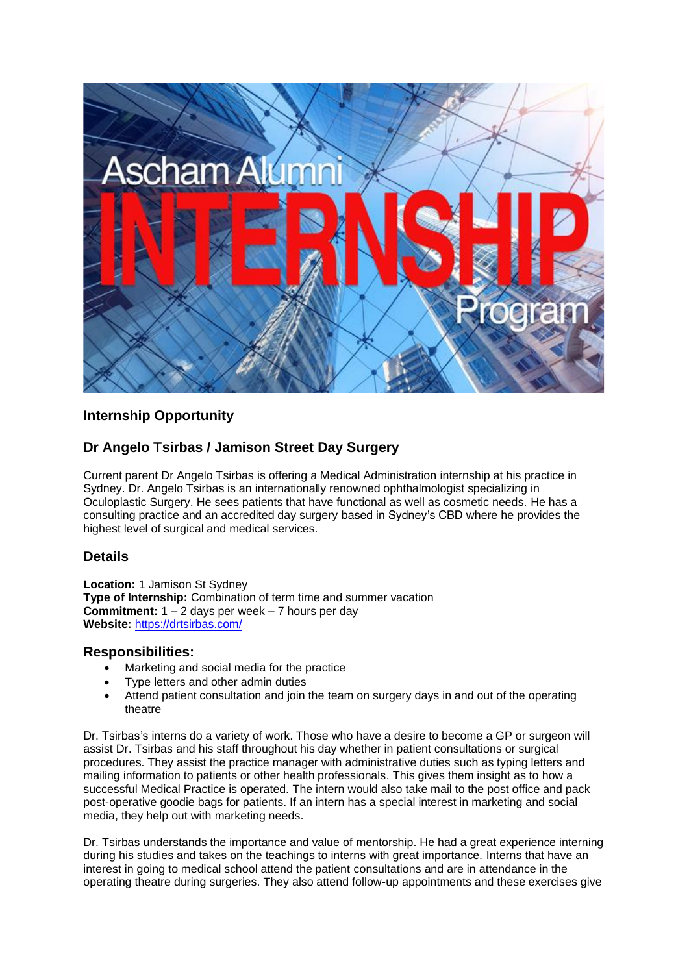

# **Internship Opportunity**

# **Dr Angelo Tsirbas / Jamison Street Day Surgery**

Current parent Dr Angelo Tsirbas is offering a Medical Administration internship at his practice in Sydney. Dr. Angelo Tsirbas is an internationally renowned ophthalmologist specializing in Oculoplastic Surgery. He sees patients that have functional as well as cosmetic needs. He has a consulting practice and an accredited day surgery based in Sydney's CBD where he provides the highest level of surgical and medical services.

### **Details**

**Location:** 1 Jamison St Sydney **Type of Internship:** Combination of term time and summer vacation **Commitment:** 1 – 2 days per week – 7 hours per day **Website:** <https://drtsirbas.com/>

#### **Responsibilities:**

- Marketing and social media for the practice
- Type letters and other admin duties
- Attend patient consultation and join the team on surgery days in and out of the operating theatre

Dr. Tsirbas's interns do a variety of work. Those who have a desire to become a GP or surgeon will assist Dr. Tsirbas and his staff throughout his day whether in patient consultations or surgical procedures. They assist the practice manager with administrative duties such as typing letters and mailing information to patients or other health professionals. This gives them insight as to how a successful Medical Practice is operated. The intern would also take mail to the post office and pack post-operative goodie bags for patients. If an intern has a special interest in marketing and social media, they help out with marketing needs.

Dr. Tsirbas understands the importance and value of mentorship. He had a great experience interning during his studies and takes on the teachings to interns with great importance. Interns that have an interest in going to medical school attend the patient consultations and are in attendance in the operating theatre during surgeries. They also attend follow-up appointments and these exercises give